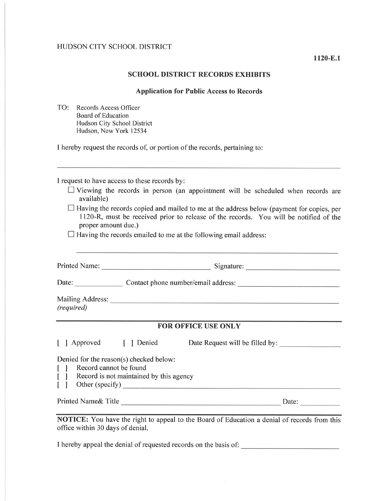## SCHOOL DISTRICT RECORDS EXHIBITS

## Application for Public Access to Records

TO: Records Access Officer Board of Education Hudson City School District Hudson, New York 12534

I hereby request the records of, or portion of the records, pertaining to:

I request to have access to these records by:

- $\Box$  Viewing the records in person (an appointment will be scheduled when records are available)
- $\Box$  Having the records copied and mailed to me at the address below (payment for copies, per 1120-R, must be received prior to release of the records. You will be notified of the proper amount due.)

 $\Box$  Having the records emailed to me at the following email address:

| (required)                                                                                                                       |  |                                                         |       |
|----------------------------------------------------------------------------------------------------------------------------------|--|---------------------------------------------------------|-------|
| <b>FOR OFFICE USE ONLY</b>                                                                                                       |  |                                                         |       |
|                                                                                                                                  |  | [ ] Approved [ ] Denied Date Request will be filled by: |       |
| Denied for the reason(s) checked below:<br>[ ] Record cannot be found<br>[ ] Record is not maintained by this agency             |  |                                                         |       |
|                                                                                                                                  |  |                                                         | Date: |
| NOTICE: You have the right to appeal to the Board of Education a denial of records from this<br>office within 30 days of denial. |  |                                                         |       |

I hereby appeal the denial of requested records on the basis of: \_\_\_\_\_\_\_\_\_\_\_\_\_\_\_\_